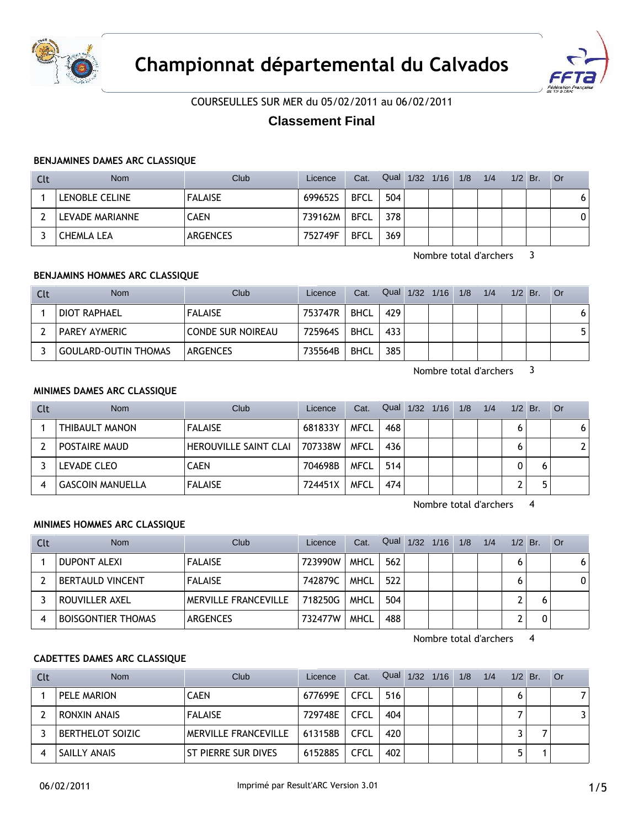



COURSEULLES SUR MER du 05/02/2011 au 06/02/2011

# **Classement Final**

# **BENJAMINES DAMES ARC CLASSIQUE**

| Clt | Nom             | Club           | Licence | Cat.        |     | Qual 1/32 1/16 1/8 | 1/4 | $1/2$ Br. | ∣ Or |
|-----|-----------------|----------------|---------|-------------|-----|--------------------|-----|-----------|------|
|     | LENOBLE CELINE  | <b>FALAISE</b> | 699652S | <b>BFCL</b> | 504 |                    |     |           | 6    |
|     | LEVADE MARIANNE | CAEN           | 739162M | <b>BFCL</b> | 378 |                    |     |           | 0    |
|     | CHEMLA LEA      | ARGENCES       | 752749F | <b>BFCL</b> | 369 |                    |     |           |      |

Nombre total d'archers 3

# **BENJAMINS HOMMES ARC CLASSIQUE**

| Clt | <b>Nom</b>                  | Club                     | Licence | Cat.        |     | Qual 1/32 1/16 1/8 | 1/4 | $1/2$ Br. | - Or |
|-----|-----------------------------|--------------------------|---------|-------------|-----|--------------------|-----|-----------|------|
|     | DIOT RAPHAEL                | <b>FALAISE</b>           | 753747R | <b>BHCL</b> | 429 |                    |     |           | 61   |
|     | <b>PAREY AYMERIC</b>        | <b>CONDE SUR NOIREAU</b> | 725964S | <b>BHCL</b> | 433 |                    |     |           | 5    |
|     | <b>GOULARD-OUTIN THOMAS</b> | ARGENCES                 | 735564B | <b>BHCL</b> | 385 |                    |     |           |      |

Nombre total d'archers 3

# **MINIMES DAMES ARC CLASSIQUE**

| Clt | <b>Nom</b>              | Club                         | Licence | Cat.        | Qual | 1/32 | $-1/16$ | 1/8 | 1/4 | $1/2$ Br. | . Or                  |
|-----|-------------------------|------------------------------|---------|-------------|------|------|---------|-----|-----|-----------|-----------------------|
|     | THIBAULT MANON          | <b>FALAISE</b>               | 681833Y | <b>MFCL</b> | 468  |      |         |     |     |           | 6                     |
|     | POSTAIRE MAUD           | <b>HEROUVILLE SAINT CLAI</b> | 707338W | <b>MFCL</b> | 436  |      |         |     |     |           | $\mathbf{2}^{\prime}$ |
|     | LEVADE CLEO             | <b>CAEN</b>                  | 704698B | <b>MFCL</b> | 514  |      |         |     |     |           |                       |
|     | <b>GASCOIN MANUELLA</b> | <b>FALAISE</b>               | 724451X | <b>MFCL</b> | 474  |      |         |     |     | ∽         |                       |

Nombre total d'archers 4

# **MINIMES HOMMES ARC CLASSIQUE**

| Clt | Nom                       | Club                 | Licence | Cat.        | Qual | $1/32$ $1/16$ | 1/8 | 1/4 | $1/2$ Br. | - Or |
|-----|---------------------------|----------------------|---------|-------------|------|---------------|-----|-----|-----------|------|
|     | DUPONT ALEXI              | <b>FALAISE</b>       | 723990W | <b>MHCL</b> | 562  |               |     |     |           | 6    |
|     | <b>BERTAULD VINCENT</b>   | <b>FALAISE</b>       | 742879C | <b>MHCL</b> | 522  |               |     |     |           | 0    |
|     | ROUVILLER AXEL            | MERVILLE FRANCEVILLE | 718250G | <b>MHCL</b> | 504  |               |     |     |           |      |
|     | <b>BOISGONTIER THOMAS</b> | ARGENCES             | 732477W | <b>MHCL</b> | 488  |               |     |     |           |      |

Nombre total d'archers 4

# **CADETTES DAMES ARC CLASSIQUE**

| Clt | <b>Nom</b>       | Club                        | Licence | Cat.        | Qual | $1/32$ $1/16$ $1/8$ | 1/4 | $1/2$ Br. | ∣ Or |
|-----|------------------|-----------------------------|---------|-------------|------|---------------------|-----|-----------|------|
|     | PELE MARION      | <b>CAEN</b>                 | 677699E | CFCL        | 516  |                     |     |           |      |
|     | RONXIN ANAIS     | <b>FALAISE</b>              | 729748E | <b>CFCL</b> | 404  |                     |     |           | ₹    |
|     | BERTHELOT SOIZIC | <b>MERVILLE FRANCEVILLE</b> | 613158B | <b>CFCL</b> | 420  |                     |     |           |      |
|     | SAILLY ANAIS     | ST PIERRE SUR DIVES         | 615288S | <b>CFCL</b> | 402  |                     |     | ь.        |      |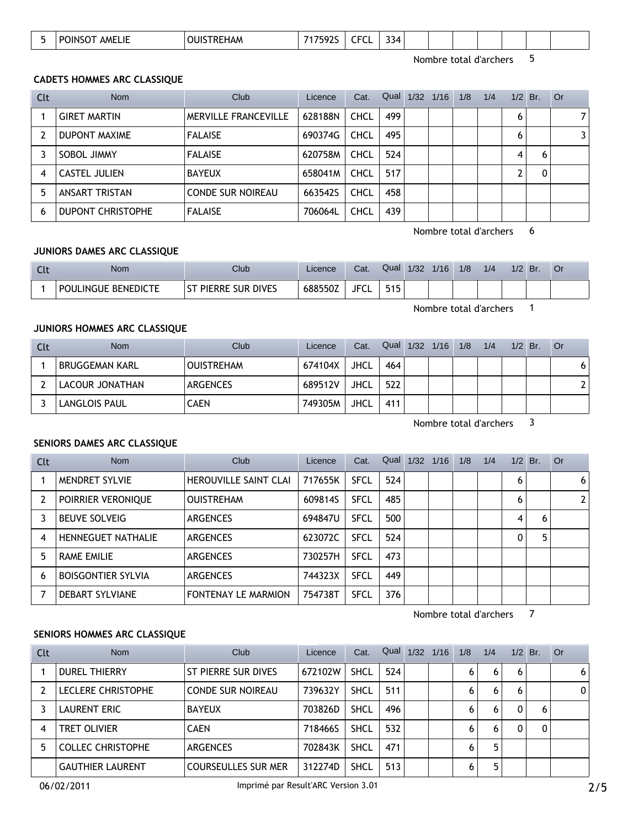| 334<br>$- - -$<br>AMELIE<br>747E02C<br>POINS<br><b>OUIF</b><br>.I REHAM<br>15L<br>, ור<br>. . I<br>$\sim$ |  |  |
|-----------------------------------------------------------------------------------------------------------|--|--|
|-----------------------------------------------------------------------------------------------------------|--|--|

Nombre total d'archers 5

#### **CADETS HOMMES ARC CLASSIQUE**

| Clt | Nom                      | Club                        | Licence | Cat.        | Qual | 1/32 | 1/16 | 1/8 | 1/4 | $1/2$ Br. |   | Or |
|-----|--------------------------|-----------------------------|---------|-------------|------|------|------|-----|-----|-----------|---|----|
|     | <b>GIRET MARTIN</b>      | <b>MERVILLE FRANCEVILLE</b> | 628188N | <b>CHCL</b> | 499  |      |      |     |     | 6         |   | 71 |
|     | <b>DUPONT MAXIME</b>     | <b>FALAISE</b>              | 690374G | <b>CHCL</b> | 495  |      |      |     |     | 6         |   | 31 |
|     | SOBOL JIMMY              | <b>FALAISE</b>              | 620758M | <b>CHCL</b> | 524  |      |      |     |     | 4         | 6 |    |
| 4   | CASTEL JULIEN            | <b>BAYEUX</b>               | 658041M | <b>CHCL</b> | 517  |      |      |     |     |           | 0 |    |
| 5   | ANSART TRISTAN           | <b>CONDE SUR NOIREAU</b>    | 663542S | <b>CHCL</b> | 458  |      |      |     |     |           |   |    |
| 6   | <b>DUPONT CHRISTOPHE</b> | <b>FALAISE</b>              | 706064L | <b>CHCL</b> | 439  |      |      |     |     |           |   |    |

Nombre total d'archers 6

### **JUNIORS DAMES ARC CLASSIQUE**

| T <sub>1</sub><br><u>. u</u> | Nom                             | Club                            | _icence          | Cat.            | Qual              | 1/32 | 1/16 | 1/8 | 1/4 | 1/2 | Br. | ◡ |
|------------------------------|---------------------------------|---------------------------------|------------------|-----------------|-------------------|------|------|-----|-----|-----|-----|---|
|                              | : BENEDICTE<br><b>POULINGUE</b> | . Dives<br>sur<br>:RRE<br>⊺DIL. | 6885507<br>שלל ∠ | <b>JFC</b><br>ີ | 515<br><u>JIJ</u> |      |      |     |     |     |     |   |

Nombre total d'archers 1

#### **JUNIORS HOMMES ARC CLASSIQUE**

| Clt | <b>Nom</b>           | Club              | Licence | Cat.        | Qual | $1/32$ $1/16$ | 1/8 | 1/4 | 1/2 | Br. | <b>Or</b> |
|-----|----------------------|-------------------|---------|-------------|------|---------------|-----|-----|-----|-----|-----------|
|     | BRUGGEMAN KARL       | <b>OUISTREHAM</b> | 674104X | <b>JHCL</b> | 464  |               |     |     |     |     | 6         |
|     | LACOUR JONATHAN      | <b>ARGENCES</b>   | 689512V | <b>JHCL</b> | 522  |               |     |     |     |     |           |
|     | <b>LANGLOIS PAUL</b> | CAEN              | 749305M | <b>JHCL</b> | 411  |               |     |     |     |     |           |

Nombre total d'archers 3

### **SENIORS DAMES ARC CLASSIQUE**

| Clt | <b>Nom</b>                | Club                         | Licence | Cat.        | Qual | 1/32 | 1/16 | 1/8 | 1/4 | $1/2$ Br. |   | Or           |
|-----|---------------------------|------------------------------|---------|-------------|------|------|------|-----|-----|-----------|---|--------------|
|     | MENDRET SYLVIE            | <b>HEROUVILLE SAINT CLAI</b> | 717655K | <b>SFCL</b> | 524  |      |      |     |     | 6         |   | 6            |
|     | POIRRIER VERONIQUE        | <b>OUISTREHAM</b>            | 609814S | <b>SFCL</b> | 485  |      |      |     |     | 6         |   | $\mathbf{2}$ |
|     | <b>BEUVE SOLVEIG</b>      | <b>ARGENCES</b>              | 694847U | <b>SFCL</b> | 500  |      |      |     |     | 4         | 6 |              |
| 4   | <b>HENNEGUET NATHALIE</b> | <b>ARGENCES</b>              | 623072C | <b>SFCL</b> | 524  |      |      |     |     | 0         | 5 |              |
| 5.  | <b>RAME EMILIE</b>        | <b>ARGENCES</b>              | 730257H | <b>SFCL</b> | 473  |      |      |     |     |           |   |              |
| 6   | <b>BOISGONTIER SYLVIA</b> | <b>ARGENCES</b>              | 744323X | <b>SFCL</b> | 449  |      |      |     |     |           |   |              |
|     | DEBART SYLVIANE           | <b>FONTENAY LE MARMION</b>   | 754738T | <b>SFCL</b> | 376  |      |      |     |     |           |   |              |

Nombre total d'archers 7

### **SENIORS HOMMES ARC CLASSIQUE**

| Clt | <b>Nom</b>               | Club                       | Licence | Cat.        | Qual | 1/32 | 1/16 | 1/8 | 1/4 | 1/2 | Br. | Or |
|-----|--------------------------|----------------------------|---------|-------------|------|------|------|-----|-----|-----|-----|----|
|     | <b>DUREL THIERRY</b>     | ST PIERRE SUR DIVES        | 672102W | <b>SHCL</b> | 524  |      |      | 6   | 6   | 6   |     | 6  |
|     | LECLERE CHRISTOPHE       | <b>CONDE SUR NOIREAU</b>   | 739632Y | <b>SHCL</b> | 511  |      |      | 6   | 6   | 6   |     | 0  |
|     | <b>LAURENT ERIC</b>      | <b>BAYEUX</b>              | 703826D | <b>SHCL</b> | 496  |      |      | 6   | 6   | 0   | 6   |    |
| 4   | <b>TRET OLIVIER</b>      | <b>CAEN</b>                | 718466S | <b>SHCL</b> | 532  |      |      | 6   | 6   | 0   | 0   |    |
|     | <b>COLLEC CHRISTOPHE</b> | <b>ARGENCES</b>            | 702843K | <b>SHCL</b> | 471  |      |      | 6   | 5   |     |     |    |
|     | <b>GAUTHIER LAURENT</b>  | <b>COURSEULLES SUR MER</b> | 312274D | <b>SHCL</b> | 513  |      |      | 6   | 5   |     |     |    |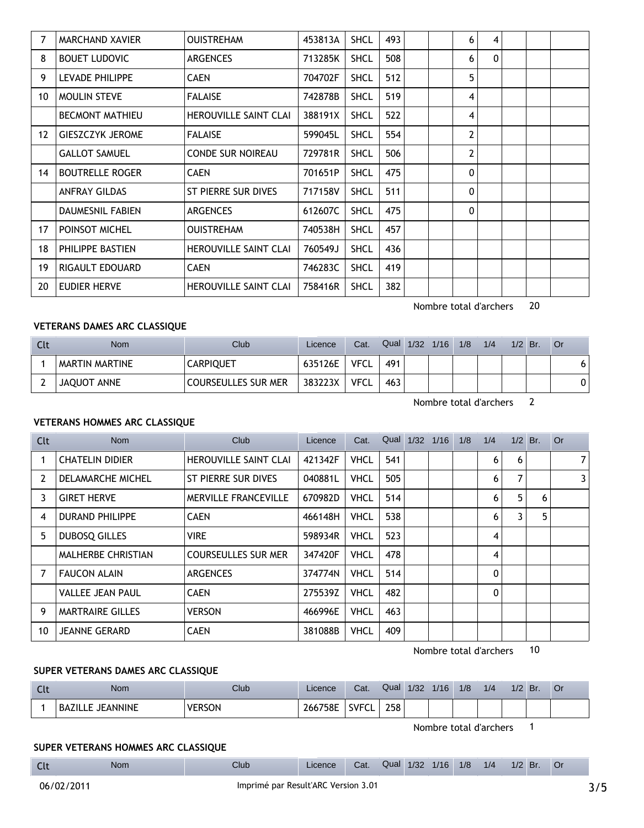| 7                | MARCHAND XAVIER         | <b>OUISTREHAM</b>            | 453813A | <b>SHCL</b> | 493 |  | 6            | 4        |  |  |
|------------------|-------------------------|------------------------------|---------|-------------|-----|--|--------------|----------|--|--|
| 8                | <b>BOUET LUDOVIC</b>    | <b>ARGENCES</b>              | 713285K | <b>SHCL</b> | 508 |  | 6            | $\Omega$ |  |  |
| 9                | LEVADE PHILIPPE         | <b>CAEN</b>                  | 704702F | <b>SHCL</b> | 512 |  | 5            |          |  |  |
| 10               | <b>MOULIN STEVE</b>     | <b>FALAISE</b>               | 742878B | <b>SHCL</b> | 519 |  | 4            |          |  |  |
|                  | <b>BECMONT MATHIEU</b>  | <b>HEROUVILLE SAINT CLAI</b> | 388191X | <b>SHCL</b> | 522 |  | 4            |          |  |  |
| 12 <sup>12</sup> | <b>GIESZCZYK JEROME</b> | <b>FALAISE</b>               | 599045L | <b>SHCL</b> | 554 |  | $\mathbf{2}$ |          |  |  |
|                  | <b>GALLOT SAMUEL</b>    | <b>CONDE SUR NOIREAU</b>     | 729781R | <b>SHCL</b> | 506 |  | 2            |          |  |  |
| 14               | <b>BOUTRELLE ROGER</b>  | <b>CAEN</b>                  | 701651P | <b>SHCL</b> | 475 |  | 0            |          |  |  |
|                  | <b>ANFRAY GILDAS</b>    | ST PIERRE SUR DIVES          | 717158V | <b>SHCL</b> | 511 |  | 0            |          |  |  |
|                  | <b>DAUMESNIL FABIEN</b> | <b>ARGENCES</b>              | 612607C | <b>SHCL</b> | 475 |  | 0            |          |  |  |
| 17               | POINSOT MICHEL          | <b>OUISTREHAM</b>            | 740538H | <b>SHCL</b> | 457 |  |              |          |  |  |
| 18               | PHILIPPE BASTIEN        | <b>HEROUVILLE SAINT CLAI</b> | 760549J | <b>SHCL</b> | 436 |  |              |          |  |  |
| 19               | RIGAULT EDOUARD         | <b>CAEN</b>                  | 746283C | <b>SHCL</b> | 419 |  |              |          |  |  |
| 20               | EUDIER HERVE            | <b>HEROUVILLE SAINT CLAI</b> | 758416R | <b>SHCL</b> | 382 |  |              |          |  |  |

Nombre total d'archers 20

### **VETERANS DAMES ARC CLASSIQUE**

| Nom            | Club                       | Licence | Cat.        | Qual | 1/32 | 1/16 | 1/8 | 1/4 | 1/2 | Br. | - Or |
|----------------|----------------------------|---------|-------------|------|------|------|-----|-----|-----|-----|------|
| MARTIN MARTINE | <b>CARPIQUET</b>           | 635126E | <b>VFCL</b> | 491  |      |      |     |     |     |     | ו ס  |
| JAQUOT ANNE    | <b>COURSEULLES SUR MER</b> | 383223X | <b>VFCL</b> | 463  |      |      |     |     |     |     | 0    |

Nombre total d'archers 2

### **VETERANS HOMMES ARC CLASSIQUE**

| Clt | <b>Nom</b>                | Club                         | Licence | Cat.        | Qual | $1/32$ $1/16$ | 1/8 | 1/4            | 1/2 | Br. | <b>Or</b>      |
|-----|---------------------------|------------------------------|---------|-------------|------|---------------|-----|----------------|-----|-----|----------------|
|     | <b>CHATELIN DIDIER</b>    | <b>HEROUVILLE SAINT CLAI</b> | 421342F | <b>VHCL</b> | 541  |               |     | 6              | 6   |     | 7 <sup>1</sup> |
| 2   | DELAMARCHE MICHEL         | ST PIERRE SUR DIVES          | 040881L | <b>VHCL</b> | 505  |               |     | 6              | 7   |     | 3              |
| 3   | <b>GIRET HERVE</b>        | <b>MERVILLE FRANCEVILLE</b>  | 670982D | <b>VHCL</b> | 514  |               |     | 6              | 5   | 6   |                |
| 4   | <b>DURAND PHILIPPE</b>    | <b>CAEN</b>                  | 466148H | <b>VHCL</b> | 538  |               |     | 6              | 3   | 5   |                |
| 5.  | <b>DUBOSQ GILLES</b>      | <b>VIRE</b>                  | 598934R | <b>VHCL</b> | 523  |               |     | 4              |     |     |                |
|     | <b>MALHERBE CHRISTIAN</b> | <b>COURSEULLES SUR MER</b>   | 347420F | <b>VHCL</b> | 478  |               |     | $\overline{4}$ |     |     |                |
| 7   | <b>FAUCON ALAIN</b>       | <b>ARGENCES</b>              | 374774N | <b>VHCL</b> | 514  |               |     | $\mathbf{0}$   |     |     |                |
|     | <b>VALLEE JEAN PAUL</b>   | <b>CAEN</b>                  | 275539Z | <b>VHCL</b> | 482  |               |     | $\mathbf{0}$   |     |     |                |
| 9   | <b>MARTRAIRE GILLES</b>   | <b>VERSON</b>                | 466996E | <b>VHCL</b> | 463  |               |     |                |     |     |                |
| 10  | <b>JEANNE GERARD</b>      | <b>CAEN</b>                  | 381088B | <b>VHCL</b> | 409  |               |     |                |     |     |                |

Nombre total d'archers 10

#### **SUPER VETERANS DAMES ARC CLASSIQUE**

| <b>CLC</b> | <b>Nom</b>                      | Club          | Licence      | Cat.             | Qual | 1/32 | 1/16 | 1/8 | 1/4 | 1/2 | Br. | Or |
|------------|---------------------------------|---------------|--------------|------------------|------|------|------|-----|-----|-----|-----|----|
|            | <b>JEANNINE</b><br>BAZILI<br>-- | <b>VERSON</b> | 758E<br>2667 | <b>SVFC</b><br>╰ | 258  |      |      |     |     |     |     |    |

Nombre total d'archers 1

Licence Cat. Qual 1/32 1/16 1/8 1/4 1/2 Br. Or

# **SUPER VETERANS HOMMES ARC CLASSIQUE**

**Clt** Nom Club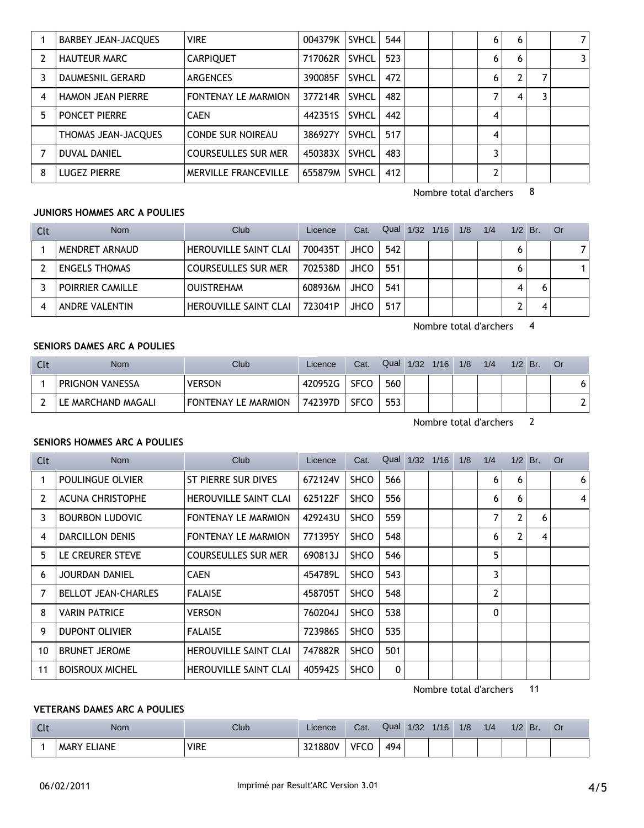|    | <b>BARBEY JEAN-JACQUES</b> | <b>VIRE</b>                | 004379K | <b>SVHCL</b> | 544 |  | 6 | 6 | 7 |
|----|----------------------------|----------------------------|---------|--------------|-----|--|---|---|---|
|    | <b>HAUTEUR MARC</b>        | <b>CARPIQUET</b>           | 717062R | <b>SVHCL</b> | 523 |  | 6 | 6 | 3 |
|    | DAUMESNIL GERARD           | <b>ARGENCES</b>            | 390085F | <b>SVHCL</b> | 472 |  | 6 |   |   |
| 4  | <b>HAMON JEAN PIERRE</b>   | <b>FONTENAY LE MARMION</b> | 377214R | <b>SVHCL</b> | 482 |  | 7 | 4 |   |
| 5. | PONCET PIERRE              | <b>CAEN</b>                | 442351S | <b>SVHCL</b> | 442 |  | 4 |   |   |
|    | THOMAS JEAN-JACQUES        | <b>CONDE SUR NOIREAU</b>   | 386927Y | <b>SVHCL</b> | 517 |  | 4 |   |   |
|    | DUVAL DANIEL               | <b>COURSEULLES SUR MER</b> | 450383X | <b>SVHCL</b> | 483 |  | 3 |   |   |
| 8  | <b>LUGEZ PIERRE</b>        | MERVILLE FRANCEVILLE       | 655879M | <b>SVHCL</b> | 412 |  | 2 |   |   |

Nombre total d'archers 8

### **JUNIORS HOMMES ARC A POULIES**

| Clt | Nom                  | Club                         | Licence | Cat.        | Qual | $1/32$ $1/16$ $1/8$ | 1/4 | $1/2$ Br. |   | <b>Or</b> |
|-----|----------------------|------------------------------|---------|-------------|------|---------------------|-----|-----------|---|-----------|
|     | MENDRET ARNAUD       | <b>HEROUVILLE SAINT CLAI</b> | 700435T | <b>JHCO</b> | 542  |                     |     |           |   |           |
|     | <b>ENGELS THOMAS</b> | <b>COURSEULLES SUR MER</b>   | 702538D | <b>JHCO</b> | 551  |                     |     |           |   |           |
|     | POIRRIER CAMILLE     | <b>OUISTREHAM</b>            | 608936M | <b>JHCO</b> | 541  |                     |     |           | 6 |           |
|     | ANDRE VALENTIN       | <b>HEROUVILLE SAINT CLAI</b> | 723041P | JHCO        | 517  |                     |     |           | 4 |           |

Nombre total d'archers 4

# **SENIORS DAMES ARC A POULIES**

| Clt | <b>Nom</b>         | Club                       | Licence | Cat.        | Qual | 1/32 | 1/16 | 1/8 | 1/4 | $1/2$ Br. | ∣ Or                     |
|-----|--------------------|----------------------------|---------|-------------|------|------|------|-----|-----|-----------|--------------------------|
|     | PRIGNON VANESSA    | <b>VERSON</b>              | 420952G | <b>SFCO</b> | 560  |      |      |     |     |           | 6                        |
|     | LE MARCHAND MAGALI | <b>FONTENAY LE MARMION</b> | 742397D | <b>SFCO</b> | 553  |      |      |     |     |           | $\overline{\phantom{0}}$ |

Nombre total d'archers 2

# **SENIORS HOMMES ARC A POULIES**

| Clt | Nom                        | Club                         | Licence | Cat.        | Qual         | $1/32$ $1/16$ | 1/8 | 1/4          | $1/2$ Br. |   | <b>Or</b>      |
|-----|----------------------------|------------------------------|---------|-------------|--------------|---------------|-----|--------------|-----------|---|----------------|
|     | POULINGUE OLVIER           | ST PIERRE SUR DIVES          | 672124V | <b>SHCO</b> | 566          |               |     | 6            | 6         |   | 6              |
| 2   | <b>ACUNA CHRISTOPHE</b>    | <b>HEROUVILLE SAINT CLAI</b> | 625122F | <b>SHCO</b> | 556          |               |     | 6            | 6         |   | $\overline{4}$ |
| 3   | <b>BOURBON LUDOVIC</b>     | <b>FONTENAY LE MARMION</b>   | 429243U | <b>SHCO</b> | 559          |               |     | 7            | 2         | 6 |                |
| 4   | <b>DARCILLON DENIS</b>     | <b>FONTENAY LE MARMION</b>   | 771395Y | <b>SHCO</b> | 548          |               |     | 6            |           | 4 |                |
| 5.  | LE CREURER STEVE           | <b>COURSEULLES SUR MER</b>   | 690813J | <b>SHCO</b> | 546          |               |     | 5            |           |   |                |
| 6   | <b>JOURDAN DANIEL</b>      | <b>CAEN</b>                  | 454789L | <b>SHCO</b> | 543          |               |     | 3            |           |   |                |
| 7   | <b>BELLOT JEAN-CHARLES</b> | <b>FALAISE</b>               | 458705T | <b>SHCO</b> | 548          |               |     | 2            |           |   |                |
| 8   | <b>VARIN PATRICE</b>       | <b>VERSON</b>                | 760204J | <b>SHCO</b> | 538          |               |     | $\mathbf{0}$ |           |   |                |
| 9   | <b>DUPONT OLIVIER</b>      | <b>FALAISE</b>               | 723986S | <b>SHCO</b> | 535          |               |     |              |           |   |                |
| 10  | <b>BRUNET JEROME</b>       | <b>HEROUVILLE SAINT CLAI</b> | 747882R | <b>SHCO</b> | 501          |               |     |              |           |   |                |
| 11  | <b>BOISROUX MICHEL</b>     | <b>HEROUVILLE SAINT CLAI</b> | 405942S | <b>SHCO</b> | $\mathbf{0}$ |               |     |              |           |   |                |

Nombre total d'archers 11

# **VETERANS DAMES ARC A POULIES**

| $\sim$<br><b>CLC</b> | Nom                | Club        | Licence | Cat.        | Qual | 1/32 | 1/16 | 1/8 | 1/4 | 1/2 | Br. |  |
|----------------------|--------------------|-------------|---------|-------------|------|------|------|-----|-----|-----|-----|--|
|                      | <b>MARY ELIANE</b> | <b>VIRE</b> | 321880V | <b>VFCC</b> | 494  |      |      |     |     |     |     |  |